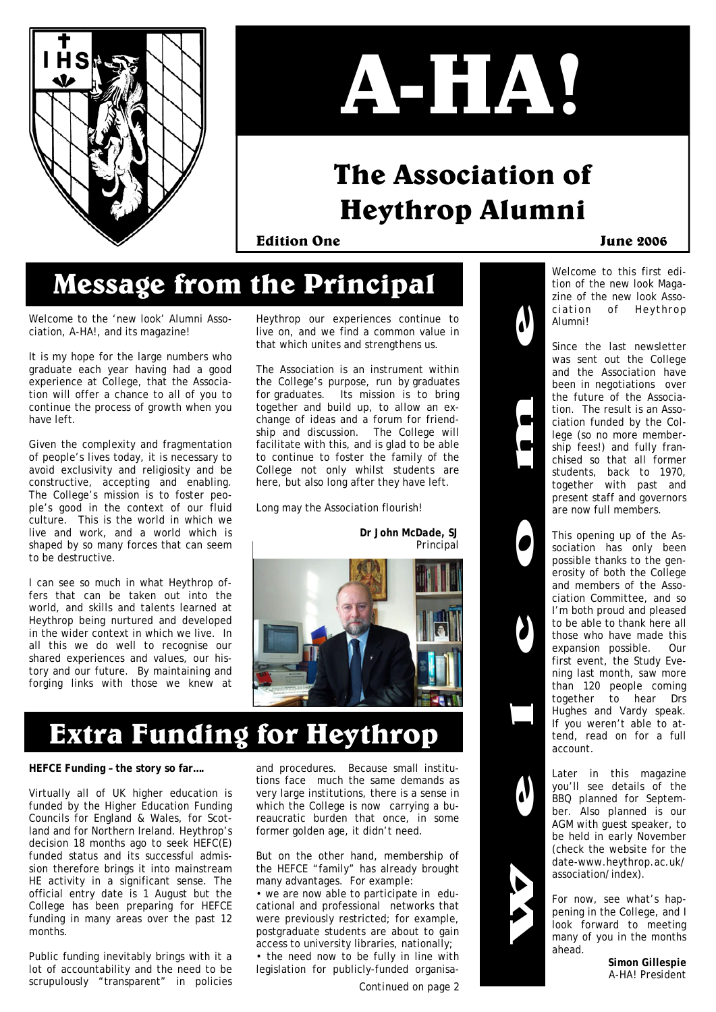



# **The Association of Heythrop Alumni**

**Edition One June 2006** 

# **Message from the Principal**

Welcome to the 'new look' Alumni Association, A-HA!, and its magazine!

It is my hope for the large numbers who graduate each year having had a good experience at College, that the Association will offer a chance to all of you to continue the process of growth when you have left.

Given the complexity and fragmentation of people's lives today, it is necessary to avoid exclusivity and religiosity and be constructive, accepting and enabling. The College's mission is to foster people's good in the context of our fluid culture. This is the world in which we live and work, and a world which is shaped by so many forces that can seem to be destructive.

I can see so much in what Heythrop offers that can be taken out into the world, and skills and talents learned at Heythrop being nurtured and developed in the wider context in which we live. In all this we do well to recognise our shared experiences and values, our history and our future. By maintaining and forging links with those we knew at

Heythrop our experiences continue to live on, and we find a common value in that which unites and strengthens us.

The Association is an instrument within the College's purpose, run *by* graduates *for* graduates. Its mission is to bring together and build up, to allow an exchange of ideas and a forum for friendship and discussion. The College will facilitate with this, and is glad to be able to continue to foster the family of the College not only whilst students are here, but also long after they have left.

Long may the Association flourish!

*Dr John McDade, SJ Principal* 



# **Extra Funding for Heythrop**

#### **HEFCE Funding – the story so far….**

Virtually all of UK higher education is funded by the Higher Education Funding Councils for England & Wales, for Scotland and for Northern Ireland. Heythrop's decision 18 months ago to seek HEFC(E) funded status and its successful admission therefore brings it into mainstream HE activity in a significant sense. The official entry date is 1 August but the College has been preparing for HEFCE funding in many areas over the past 12 months.

Public funding inevitably brings with it a lot of accountability and the need to be scrupulously "transparent" in policies

and procedures. Because small institutions face much the same demands as very large institutions, there is a sense in which the College is now carrying a bureaucratic burden that once, in some former golden age, it didn't need.

But on the other hand, membership of the HEFCE "family" has already brought many advantages. For example:

• we are now able to participate in educational and professional networks that were previously restricted; for example, postgraduate students are about to gain access to university libraries, nationally; • the need now to be fully in line with legislation for publicly-funded organisa-

*Continued on page 2* 



Welcome to this first edition of the new look Magazine of the new look Association of Heythrop Alumni!

Since the last newsletter was sent out the College and the Association have been in negotiations over the future of the Association. The result is an Association funded by the College (so no more membership fees!) and fully franchised so that all former students, back to 1970, together with past and present staff and governors are now full members.

This opening up of the Association has only been possible thanks to the generosity of both the College and members of the Association Committee, and so I'm both proud and pleased to be able to thank here all those who have made this expansion possible. Our first event, the Study Evening last month, saw more than 120 people coming together to hear Drs Hughes and Vardy speak. If you weren't able to attend, read on for a full account.

Later in this magazine you'll see details of the BBQ planned for September. Also planned is our AGM with guest speaker, to be held in early November (check the website for the date-www.heythrop.ac.uk/ association/index).

For now, see what's happening in the College, and I look forward to meeting many of you in the months ahead.

> *Simon Gillespie A-HA! President*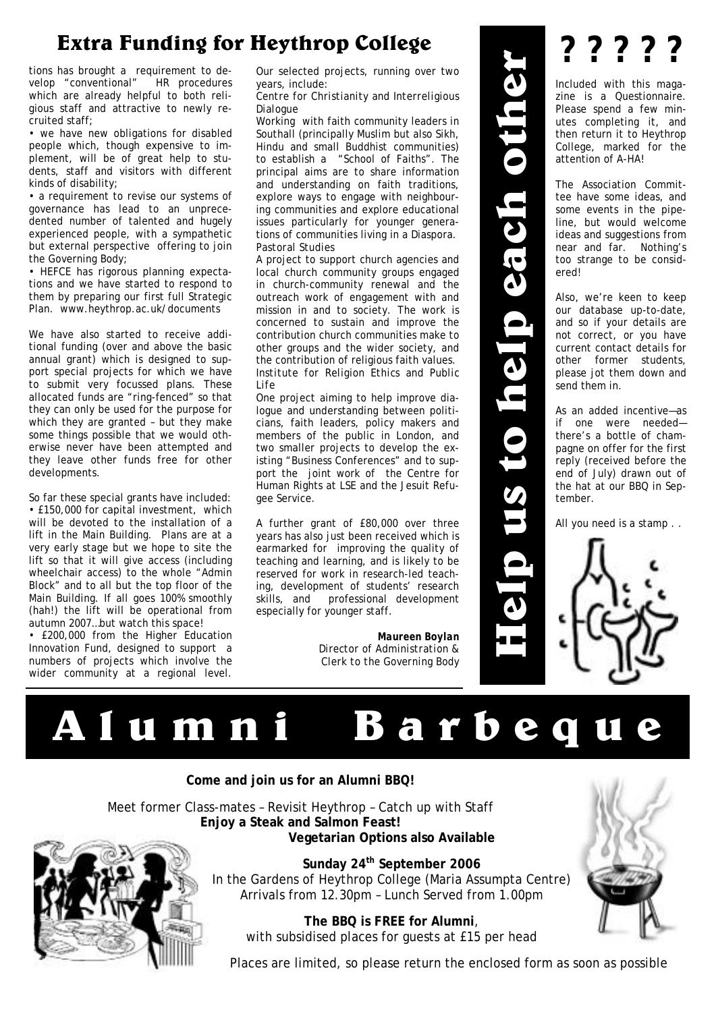## **Extra Funding for Heythrop College**

tions has brought a requirement to develop "conventional" HR procedures which are already helpful to both religious staff and attractive to newly recruited staff;

• we have new obligations for disabled people which, though expensive to implement, will be of great help to students, staff and visitors with different kinds of disability;

• a requirement to revise our systems of governance has lead to an unprecedented number of talented and hugely experienced people, with a sympathetic but external perspective offering to join the Governing Body;

• HEFCE has rigorous planning expectations and we have started to respond to them by preparing our first full Strategic Plan. www.heythrop.ac.uk/documents

We have also started to receive additional funding (over and above the basic annual grant) which is designed to support special projects for which we have to submit very focussed plans. These allocated funds are "ring-fenced" so that they can only be used for the purpose for which they are granted – but they make some things possible that we would otherwise never have been attempted and they leave other funds free for other developments.

So far these special grants have included: • £150,000 for capital investment, which will be devoted to the installation of a lift in the Main Building. Plans are at a very early stage but we hope to site the lift so that it will give access (including wheelchair access) to the whole "Admin Block" and to all but the top floor of the Main Building. If all goes 100% smoothly (hah!) the lift will be operational from autumn 2007…but watch this space!

• £200,000 from the Higher Education Innovation Fund, designed to support a numbers of projects which involve the wider community at a regional level.

Our selected projects, running over two years, include:

*Centre for Christianity and Interreligious Dialogue* 

Working with faith community leaders in Southall (principally Muslim but also Sikh, Hindu and small Buddhist communities) to establish a "School of Faiths". The principal aims are to share information and understanding on faith traditions, explore ways to engage with neighbouring communities and explore educational issues particularly for younger generations of communities living in a Diaspora. *Pastoral Studies* 

A project to support church agencies and local church community groups engaged in church-community renewal and the outreach work of engagement with and mission in and to society. The work is concerned to sustain and improve the contribution church communities make to other groups and the wider society, and the contribution of religious faith values. *Institute for Religion Ethics and Public Life*  **EXTREMENTER PERIOD CONFERENCE CONTENT IS a respect of the system of the content of the system of the content of the system of the content of the system of the content of the system of the content of the content of the co** 

One project aiming to help improve dialogue and understanding between politicians, faith leaders, policy makers and members of the public in London, and two smaller projects to develop the existing "Business Conferences" and to support the joint work of the Centre for Human Rights at LSE and the Jesuit Refugee Service.

A further grant of £80,000 over three years has also just been received which is earmarked for improving the quality of teaching and learning, and is likely to be reserved for work in research-led teaching, development of students' research skills, and professional development especially for younger staff.

> *Maureen Boylan Director of Administration & Clerk to the Governing Body*

**? ? ? ? ?** 

zine is a Questionnaire. Please spend a few minutes completing it, and then return it to Heythrop College, marked for the attention of A-HA!

The Association Committee have some ideas, and some events in the pipeline, but would welcome ideas and suggestions from near and far. Nothing's too strange to be considered!

Also, we're keen to keep our database up-to-date, and so if your details are not correct, or you have current contact details for other former students, please jot them down and send them in.

As an added incentive—as if one were needed there's a bottle of champagne on offer for the first reply (received before the end of July) drawn out of the hat at our BBQ in September.

All you need is a stamp . .



### **Come and join us for an Alumni BBQ!**

Meet former Class-mates – Revisit Heythrop – Catch up with Staff **Enjoy a Steak and Salmon Feast! Vegetarian Options also Available** 



**Sunday 24th September 2006**  In the Gardens of Heythrop College (Maria Assumpta Centre) Arrivals from 12.30pm – Lunch Served from 1.00pm

**The BBQ is FREE for Alumni**, with subsidised places for guests at £15 per head

Places are limited, so please return the enclosed form as soon as possible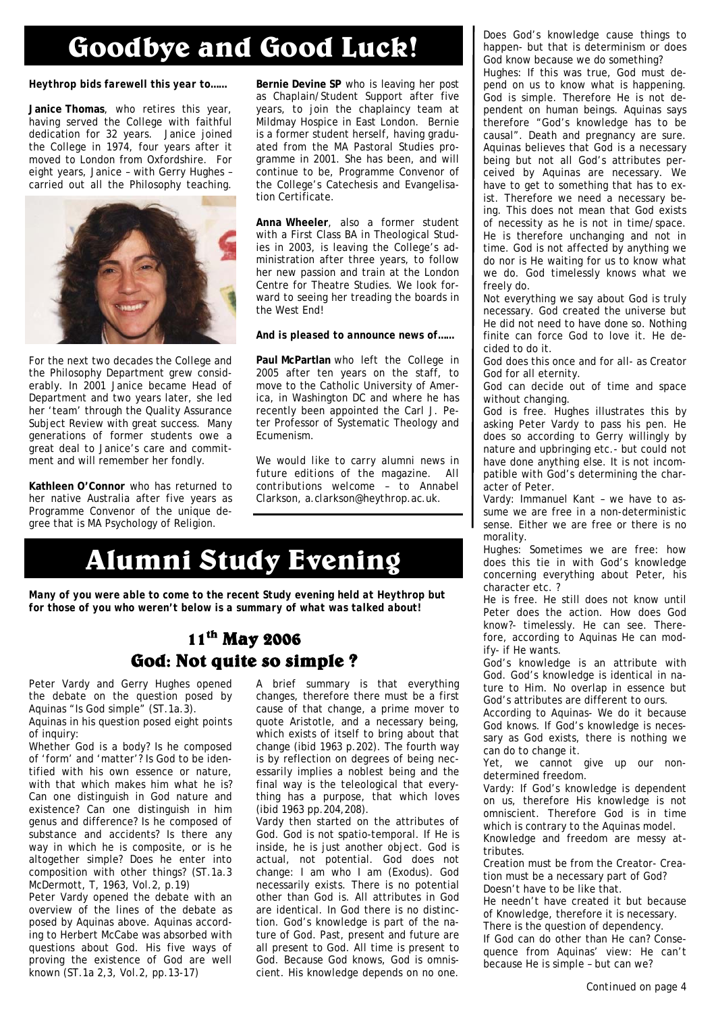# **Goodbye and Good Luck!**

### *Heythrop bids farewell this year to……*

**Janice Thomas**, who retires this year, having served the College with faithful dedication for 32 years. Janice joined the College in 1974, four years after it moved to London from Oxfordshire. For eight years, Janice – with Gerry Hughes – carried out all the Philosophy teaching.



For the next two decades the College and the Philosophy Department grew considerably. In 2001 Janice became Head of Department and two years later, she led her 'team' through the Quality Assurance Subject Review with great success. Many generations of former students owe a great deal to Janice's care and commitment and will remember her fondly.

**Kathleen O'Connor** who has returned to her native Australia after five years as Programme Convenor of the unique degree that is MA Psychology of Religion.

**Bernie Devine SP** who is leaving her post as Chaplain/Student Support after five years, to join the chaplaincy team at Mildmay Hospice in East London. Bernie is a former student herself, having graduated from the MA Pastoral Studies programme in 2001. She has been, and will continue to be, Programme Convenor of the College's Catechesis and Evangelisation Certificate.

**Anna Wheeler**, also a former student with a First Class BA in Theological Studies in 2003, is leaving the College's administration after three years, to follow her new passion and train at the London Centre for Theatre Studies. We look forward to seeing her treading the boards in the West End!

### *And is pleased to announce news of……*

**Paul McPartlan** who left the College in 2005 after ten years on the staff, to move to the Catholic University of America, in Washington DC and where he has recently been appointed the Carl J. Peter Professor of Systematic Theology and Ecumenism.

*We would like to carry alumni news in future editions of the magazine. All contributions welcome – to Annabel Clarkson, a.clarkson@heythrop.ac.uk.* 

# **Alumni Study Evening**

*Many of you were able to come to the recent Study evening held at Heythrop but for those of you who weren't below is a summary of what was talked about!* 

### **11th May 2006 God: Not quite so simple ?**

Peter Vardy and Gerry Hughes opened the debate on the question posed by Aquinas "Is God simple" (ST.1a.3).

Aquinas in his question posed eight points of inquiry:

Whether God is a body? Is he composed of 'form' and 'matter'? Is God to be identified with his own essence or nature, with that which makes him what he is? Can one distinguish in God nature and existence? Can one distinguish in him genus and difference? Is he composed of substance and accidents? Is there any way in which he is composite, or is he altogether simple? Does he enter into composition with other things? (ST.1a.3 McDermott, T, 1963, Vol.2, p.19)

Peter Vardy opened the debate with an overview of the lines of the debate as posed by Aquinas above. Aquinas according to Herbert McCabe was absorbed with questions about God. His five ways of proving the existence of God are well known (ST.1a 2,3, Vol.2, pp.13-17)

A brief summary is that everything changes, therefore there must be a first cause of that change, a prime mover to quote Aristotle, and a necessary being, which exists of itself to bring about that change (ibid 1963 p.202). The fourth way is by reflection on degrees of being necessarily implies a noblest being and the final way is the teleological that everything has a purpose, that which loves (ibid 1963 pp.204,208).

Vardy then started on the attributes of God. God is not spatio-temporal. If He is inside, he is just another object. God is actual, not potential. God does not change: I am who I am (Exodus). God necessarily exists. There is no potential other than God is. All attributes in God are identical. In God there is no distinction. God's knowledge is part of the nature of God. Past, present and future are all present to God. All time is present to God. Because God knows, God is omniscient. His knowledge depends on no one.

Does God's knowledge cause things to happen- but that is determinism or does God know because we do something? Hughes: If this was true, God must depend on us to know what is happening. God is simple. Therefore He is not dependent on human beings. Aquinas says therefore "God's knowledge has to be causal". Death and pregnancy are sure. Aquinas believes that God is a necessary being but not all God's attributes perceived by Aquinas are necessary. We have to get to something that has to exist. Therefore we need a necessary being. This does not mean that God exists of necessity as he is not in time/space. He is therefore unchanging and not in time. God is not affected by anything we do nor is He waiting for us to know what we do. God timelessly knows what we freely do.

Not everything we say about God is truly necessary. God created the universe but He did not need to have done so. Nothing finite can force God to love it. He decided to do it.

God does this once and for all- as Creator God for all eternity.

God can decide out of time and space without changing.

God is free. Hughes illustrates this by asking Peter Vardy to pass his pen. He does so according to Gerry willingly by nature and upbringing etc.- but could not have done anything else. It is not incompatible with God's determining the character of Peter.

Vardy: Immanuel Kant – we have to assume we are free in a non-deterministic sense. Either we are free or there is no morality.

Hughes: Sometimes we are free: how does this tie in with God's knowledge concerning everything about Peter, his character etc. ?

He is free. He still does not know until Peter does the action. How does God know?- timelessly. He can see. Therefore, according to Aquinas He can modify- if He wants.

God's knowledge is an attribute with God. God's knowledge is identical in nature to Him. No overlap in essence but God's attributes are different to ours.

According to Aquinas- We do it because God knows. If God's knowledge is necessary as God exists, there is nothing we can do to change it.

Yet, we cannot give up our nondetermined freedom.

Vardy: If God's knowledge is dependent on us, therefore His knowledge is not omniscient. Therefore God is in time which is contrary to the Aquinas model. Knowledge and freedom are messy attributes.

Creation must be from the Creator- Creation must be a necessary part of God? Doesn't have to be like that.

He needn't have created it but because of Knowledge, therefore it is necessary. There is the question of dependency.

If God can do other than He can? Consequence from Aquinas' view: He can't because He is simple – but can we?